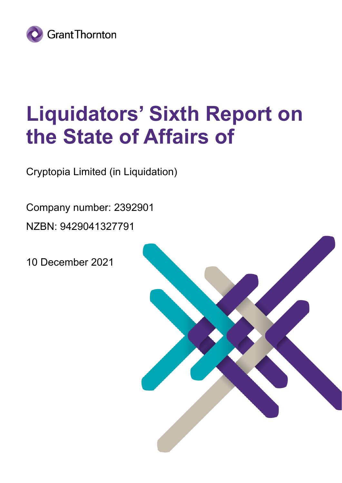

# **Liquidators' Sixth Report on the State of Affairs of**

Cryptopia Limited (in Liquidation)

Company number: 2392901

NZBN: 9429041327791

10 December 2021

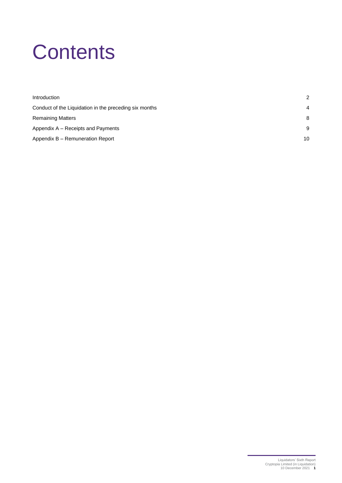# **Contents**

| Introduction                                           | $\mathcal{P}$ |
|--------------------------------------------------------|---------------|
| Conduct of the Liquidation in the preceding six months | 4             |
| <b>Remaining Matters</b>                               | 8             |
| Appendix A – Receipts and Payments                     | 9             |
| Appendix B - Remuneration Report                       | 10            |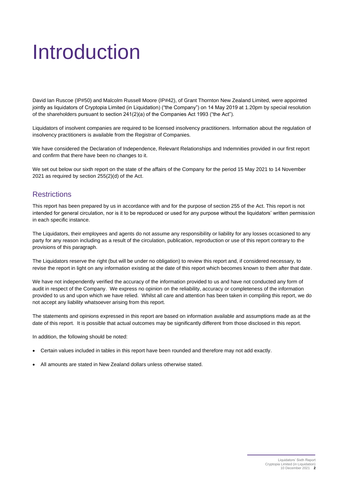# <span id="page-2-0"></span>Introduction

David Ian Ruscoe (IP#50) and Malcolm Russell Moore (IP#42), of Grant Thornton New Zealand Limited, were appointed jointly as liquidators of Cryptopia Limited (in Liquidation) ("the Company") on 14 May 2019 at 1.20pm by special resolution of the shareholders pursuant to section 241(2)(a) of the Companies Act 1993 ("the Act").

Liquidators of insolvent companies are required to be licensed insolvency practitioners. Information about the regulation of insolvency practitioners is available from the Registrar of Companies.

We have considered the Declaration of Independence, Relevant Relationships and Indemnities provided in our first report and confirm that there have been no changes to it.

We set out below our sixth report on the state of the affairs of the Company for the period 15 May 2021 to 14 November 2021 as required by section 255(2)(d) of the Act.

### **Restrictions**

This report has been prepared by us in accordance with and for the purpose of section 255 of the Act. This report is not intended for general circulation, nor is it to be reproduced or used for any purpose without the liquidators' written permission in each specific instance.

The Liquidators, their employees and agents do not assume any responsibility or liability for any losses occasioned to any party for any reason including as a result of the circulation, publication, reproduction or use of this report contrary to the provisions of this paragraph.

The Liquidators reserve the right (but will be under no obligation) to review this report and, if considered necessary, to revise the report in light on any information existing at the date of this report which becomes known to them after that date.

We have not independently verified the accuracy of the information provided to us and have not conducted any form of audit in respect of the Company. We express no opinion on the reliability, accuracy or completeness of the information provided to us and upon which we have relied. Whilst all care and attention has been taken in compiling this report, we do not accept any liability whatsoever arising from this report.

The statements and opinions expressed in this report are based on information available and assumptions made as at the date of this report. It is possible that actual outcomes may be significantly different from those disclosed in this report.

In addition, the following should be noted:

- Certain values included in tables in this report have been rounded and therefore may not add exactly.
- All amounts are stated in New Zealand dollars unless otherwise stated.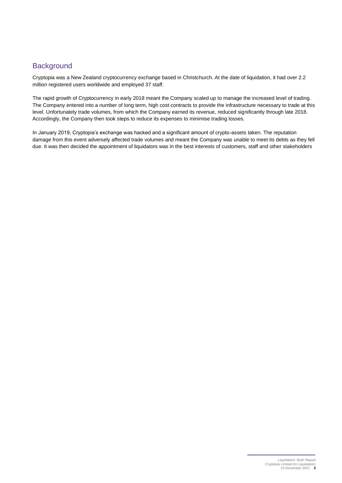## **Background**

Cryptopia was a New Zealand cryptocurrency exchange based in Christchurch. At the date of liquidation, it had over 2.2 million registered users worldwide and employed 37 staff.

The rapid growth of Cryptocurrency in early 2018 meant the Company scaled up to manage the increased level of trading. The Company entered into a number of long term, high cost contracts to provide the infrastructure necessary to trade at this level. Unfortunately trade volumes, from which the Company earned its revenue, reduced significantly through late 2018. Accordingly, the Company then took steps to reduce its expenses to minimise trading losses.

In January 2019, Cryptopia's exchange was hacked and a significant amount of crypto-assets taken. The reputation damage from this event adversely affected trade volumes and meant the Company was unable to meet its debts as they fell due. It was then decided the appointment of liquidators was in the best interests of customers, staff and other stakeholders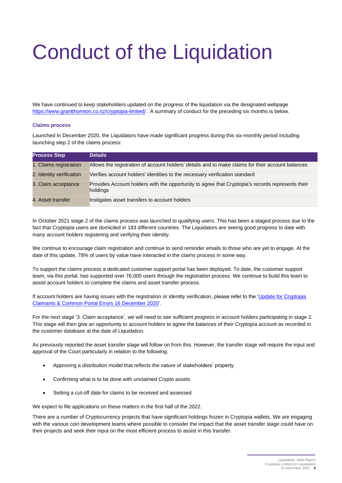# <span id="page-4-0"></span>Conduct of the Liquidation

We have continued to keep stakeholders updated on the progress of the liquidation via the designated webpage [https://www.grantthornton.co.nz/cryptopia-limited/.](https://www.grantthornton.co.nz/cryptopia-limited/) A summary of conduct for the preceding six months is below.

#### **Claims process**

Launched In December 2020, the Liquidators have made significant progress during this six-monthly period including launching step 2 of the claims process:

| <b>Process Step</b>      | <b>Details</b>                                                                                               |
|--------------------------|--------------------------------------------------------------------------------------------------------------|
| 1. Claims registration   | Allows the registration of account holders' details and to make claims for their account balances            |
| 2. Identity verification | Verifies account holders' identities to the necessary verification standard                                  |
| 3. Claim acceptance      | Provides Account holders with the opportunity to agree that Cryptopia's records represents their<br>holdings |
| 4. Asset transfer        | Instigates asset transfers to account holders                                                                |

In October 2021 stage 2 of the claims process was launched to qualifying users. This has been a staged process due to the fact that Cryptopia users are domiciled in 183 different countries. The Liquidators are seeing good progress to date with many account holders registering and verifying their identity.

We continue to encourage claim registration and continue to send reminder emails to those who are yet to engage. At the date of this update, 78% of users by value have interacted in the claims process in some way.

To support the claims process a dedicated customer support portal has been deployed. To date, the customer support team, via this portal, has supported over 76,000 users through the registration process. We continue to build this team to assist account holders to complete the claims and asset transfer process.

If account holders are having issues with the registration or identity verification, please refer to the 'Update for Cryptopia [Claimants & Common Portal Errors 16 December 2020'.](https://www.grantthornton.co.nz/insights/update-for-cryptopia-claimants--common-portal-errors-16-december-2020/)

For the next stage '3. Claim acceptance', we will need to see sufficient progress in account holders participating in stage 2. This stage will then give an opportunity to account holders to agree the balances of their Cryptopia account as recorded in the customer database at the date of Liquidation.

As previously reported the asset transfer stage will follow on from this. However, the transfer stage will require the input and approval of the Court particularly in relation to the following:

- Approving a distribution model that reflects the nature of stakeholders' property
- Confirming what is to be done with unclaimed Crypto assets
- Setting a cut-off date for claims to be received and assessed

We expect to file applications on these matters in the first half of the 2022.

There are a number of Cryptocurrency projects that have significant holdings frozen in Cryptopia wallets. We are engaging with the various coin development teams where possible to consider the impact that the asset transfer stage could have on their projects and seek their input on the most efficient process to assist in this transfer.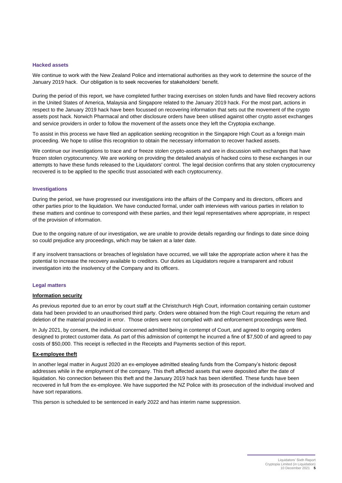#### **Hacked assets**

We continue to work with the New Zealand Police and international authorities as they work to determine the source of the January 2019 hack. Our obligation is to seek recoveries for stakeholders' benefit.

During the period of this report, we have completed further tracing exercises on stolen funds and have filed recovery actions in the United States of America, Malaysia and Singapore related to the January 2019 hack. For the most part, actions in respect to the January 2019 hack have been focussed on recovering information that sets out the movement of the crypto assets post hack. Norwich Pharmacal and other disclosure orders have been utilised against other crypto asset exchanges and service providers in order to follow the movement of the assets once they left the Cryptopia exchange.

To assist in this process we have filed an application seeking recognition in the Singapore High Court as a foreign main proceeding. We hope to utilise this recognition to obtain the necessary information to recover hacked assets.

We continue our investigations to trace and or freeze stolen crypto-assets and are in discussion with exchanges that have frozen stolen cryptocurrency. We are working on providing the detailed analysis of hacked coins to these exchanges in our attempts to have these funds released to the Liquidators' control. The legal decision confirms that any stolen cryptocurrency recovered is to be applied to the specific trust associated with each cryptocurrency.

#### **Investigations**

During the period, we have progressed our investigations into the affairs of the Company and its directors, officers and other parties prior to the liquidation. We have conducted formal, under oath interviews with various parties in relation to these matters and continue to correspond with these parties, and their legal representatives where appropriate, in respect of the provision of information.

Due to the ongoing nature of our investigation, we are unable to provide details regarding our findings to date since doing so could prejudice any proceedings, which may be taken at a later date.

If any insolvent transactions or breaches of legislation have occurred, we will take the appropriate action where it has the potential to increase the recovery available to creditors. Our duties as Liquidators require a transparent and robust investigation into the insolvency of the Company and its officers.

#### **Legal matters**

#### **Information security**

As previous reported due to an error by court staff at the Christchurch High Court, information containing certain customer data had been provided to an unauthorised third party. Orders were obtained from the High Court requiring the return and deletion of the material provided in error. Those orders were not complied with and enforcement proceedings were filed.

In July 2021, by consent, the individual concerned admitted being in contempt of Court, and agreed to ongoing orders designed to protect customer data. As part of this admission of contempt he incurred a fine of \$7,500 of and agreed to pay costs of \$50,000. This receipt is reflected in the Receipts and Payments section of this report.

#### **Ex-employee theft**

In another legal matter in August 2020 an ex-employee admitted stealing funds from the Company's historic deposit addresses while in the employment of the company. This theft affected assets that were deposited after the date of liquidation. No connection between this theft and the January 2019 hack has been identified. These funds have been recovered in full from the ex-employee. We have supported the NZ Police with its prosecution of the individual involved and have sort reparations.

This person is scheduled to be sentenced in early 2022 and has interim name suppression.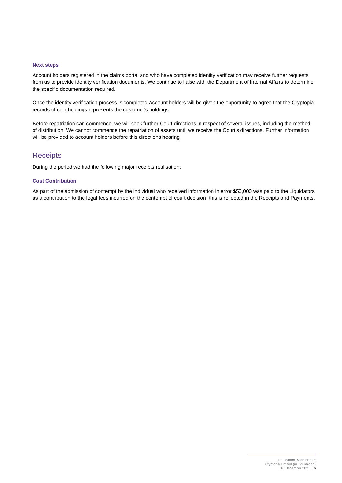#### **Next steps**

Account holders registered in the claims portal and who have completed identity verification may receive further requests from us to provide identity verification documents. We continue to liaise with the Department of Internal Affairs to determine the specific documentation required.

Once the identity verification process is completed Account holders will be given the opportunity to agree that the Cryptopia records of coin holdings represents the customer's holdings.

Before repatriation can commence, we will seek further Court directions in respect of several issues, including the method of distribution. We cannot commence the repatriation of assets until we receive the Court's directions. Further information will be provided to account holders before this directions hearing

### **Receipts**

During the period we had the following major receipts realisation:

### **Cost Contribution**

As part of the admission of contempt by the individual who received information in error \$50,000 was paid to the Liquidators as a contribution to the legal fees incurred on the contempt of court decision: this is reflected in the Receipts and Payments.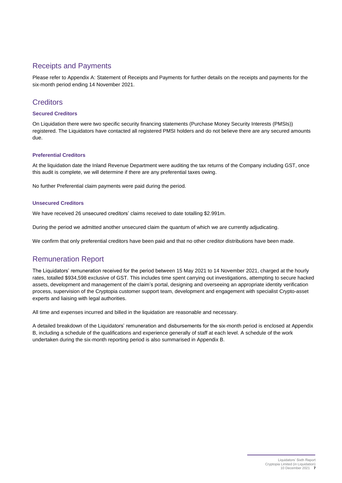## Receipts and Payments

Please refer to Appendix A: Statement of Receipts and Payments for further details on the receipts and payments for the six-month period ending 14 November 2021.

## **Creditors**

### **Secured Creditors**

On Liquidation there were two specific security financing statements (Purchase Money Security Interests (PMSIs)) registered. The Liquidators have contacted all registered PMSI holders and do not believe there are any secured amounts due.

### **Preferential Creditors**

At the liquidation date the Inland Revenue Department were auditing the tax returns of the Company including GST, once this audit is complete, we will determine if there are any preferential taxes owing.

No further Preferential claim payments were paid during the period.

### **Unsecured Creditors**

We have received 26 unsecured creditors' claims received to date totalling \$2.991m.

During the period we admitted another unsecured claim the quantum of which we are currently adjudicating.

We confirm that only preferential creditors have been paid and that no other creditor distributions have been made.

# Remuneration Report

The Liquidators' remuneration received for the period between 15 May 2021 to 14 November 2021, charged at the hourly rates, totalled \$934,598 exclusive of GST. This includes time spent carrying out investigations, attempting to secure hacked assets, development and management of the claim's portal, designing and overseeing an appropriate identity verification process, supervision of the Cryptopia customer support team, development and engagement with specialist Crypto-asset experts and liaising with legal authorities.

All time and expenses incurred and billed in the liquidation are reasonable and necessary.

A detailed breakdown of the Liquidators' remuneration and disbursements for the six-month period is enclosed at Appendix B, including a schedule of the qualifications and experience generally of staff at each level. A schedule of the work undertaken during the six-month reporting period is also summarised in Appendix B.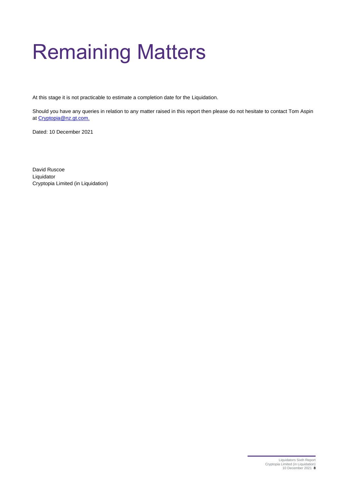# <span id="page-8-0"></span>Remaining Matters

At this stage it is not practicable to estimate a completion date for the Liquidation.

Should you have any queries in relation to any matter raised in this report then please do not hesitate to contact Tom Aspin a[t Cryptopia@nz.gt.com.](mailto:Cryptopia@nz.gt.com)

Dated: 10 December 2021

David Ruscoe Liquidator Cryptopia Limited (in Liquidation)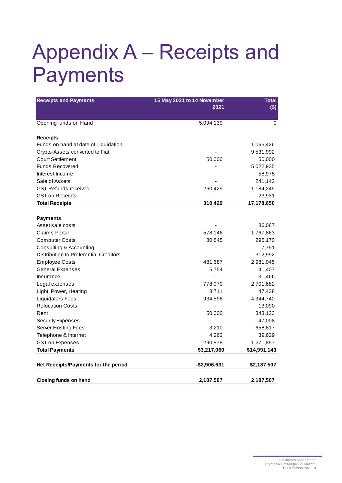# <span id="page-9-0"></span>Appendix A – Receipts and Payments

| <b>Receipts and Payments</b>           | 15 May 2021 to 14 November<br>2021 | <b>Total</b><br>$($ \$) |
|----------------------------------------|------------------------------------|-------------------------|
| Opening funds on Hand                  | 5,094,139                          | 0                       |
| <b>Receipts</b>                        |                                    |                         |
| Funds on hand at date of Liquidation   |                                    | 1,065,426               |
| Crypto-Assets converted to Fiat        |                                    | 9,531,992               |
| <b>Court Settlement</b>                | 50,000                             | 50,000                  |
| <b>Funds Recovered</b>                 |                                    | 5,022,935               |
| Interest Income                        |                                    | 58,975                  |
| Sale of Assets                         |                                    | 241,142                 |
| <b>GST Refunds received</b>            | 260,429                            | 1,184,249               |
| <b>GST on Receipts</b>                 |                                    | 23,931                  |
| <b>Total Receipts</b>                  | 310,429                            | 17,178,650              |
|                                        |                                    |                         |
| <b>Payments</b>                        |                                    |                         |
| Asset sale costs                       |                                    | 86,067                  |
| Claims Portal                          | 578,146                            | 1,767,863               |
| <b>Computer Costs</b>                  | 80,845                             | 295,170                 |
| Consulting & Accounting                |                                    | 7,751                   |
| Distribution to Preferential Creditors |                                    | 312,992                 |
| <b>Employee Costs</b>                  | 481,687                            | 2,981,045               |
| <b>General Expenses</b>                | 5,754                              | 41,407                  |
| Insurance                              |                                    | 31,466                  |
| Legal expenses                         | 778,970                            | 2,701,682               |
| Light, Power, Heating                  | 8,711                              | 47,438                  |
| <b>Liquidators Fees</b>                | 934,598                            | 4,344,740               |
| <b>Relocation Costs</b>                |                                    | 13,090                  |
| Rent                                   | 50,000                             | 343,123                 |
| <b>Security Expenses</b>               |                                    | 47,008                  |
| <b>Server Hosting Fees</b>             | 3,210                              | 658,817                 |
| Telephone & Internet                   | 4,262                              | 39,629                  |
| <b>GST on Expenses</b>                 | 290,878                            | 1,271,857               |
| <b>Total Payments</b>                  | \$3,217,060                        | \$14,991,143            |
|                                        |                                    |                         |
| Net Receipts/Payments for the period   | -\$2,906,631                       | \$2,187,507             |
| <b>Closing funds on hand</b>           | 2,187,507                          | 2,187,507               |
|                                        |                                    |                         |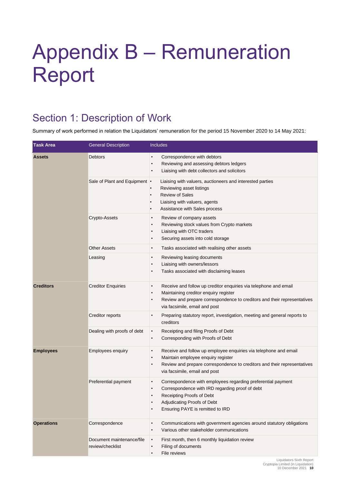# <span id="page-10-0"></span>Appendix B – Remuneration Report

# Section 1: Description of Work

Summary of work performed in relation the Liquidators' remuneration for the period 15 November 2020 to 14 May 2021:

| <b>Task Area</b>  | <b>General Description</b>                    | <b>Includes</b>                                                                                                                                                                                                                                     |
|-------------------|-----------------------------------------------|-----------------------------------------------------------------------------------------------------------------------------------------------------------------------------------------------------------------------------------------------------|
| <b>Assets</b>     | <b>Debtors</b>                                | Correspondence with debtors<br>$\bullet$<br>Reviewing and assessing debtors ledgers<br>$\bullet$<br>Liaising with debt collectors and solicitors<br>٠                                                                                               |
|                   | Sale of Plant and Equipment •                 | Liaising with valuers, auctioneers and interested parties<br>Reviewing asset listings<br><b>Review of Sales</b><br>Liaising with valuers, agents<br>Assistance with Sales process                                                                   |
|                   | Crypto-Assets                                 | Review of company assets<br>$\bullet$<br>Reviewing stock values from Crypto markets<br>$\bullet$<br>Liaising with OTC traders<br>$\bullet$<br>Securing assets into cold storage<br>٠                                                                |
|                   | <b>Other Assets</b>                           | Tasks associated with realising other assets<br>$\bullet$                                                                                                                                                                                           |
|                   | Leasing                                       | Reviewing leasing documents<br>$\bullet$<br>Liaising with owners/lessors<br>٠<br>Tasks associated with disclaiming leases<br>٠                                                                                                                      |
| <b>Creditors</b>  | <b>Creditor Enquiries</b>                     | Receive and follow up creditor enquiries via telephone and email<br>٠<br>Maintaining creditor enquiry register<br>٠<br>Review and prepare correspondence to creditors and their representatives<br>٠<br>via facsimile, email and post               |
|                   | Creditor reports                              | Preparing statutory report, investigation, meeting and general reports to<br>$\bullet$<br>creditors                                                                                                                                                 |
|                   | Dealing with proofs of debt                   | Receipting and filing Proofs of Debt<br>$\bullet$<br>Corresponding with Proofs of Debt<br>$\bullet$                                                                                                                                                 |
| <b>Employees</b>  | <b>Employees enquiry</b>                      | Receive and follow up employee enquiries via telephone and email<br>٠<br>Maintain employee enquiry register<br>$\bullet$<br>Review and prepare correspondence to creditors and their representatives<br>$\bullet$<br>via facsimile, email and post  |
|                   | Preferential payment                          | Correspondence with employees regarding preferential payment<br>٠<br>Correspondence with IRD regarding proof of debt<br>$\bullet$<br>Receipting Proofs of Debt<br>$\bullet$<br>Adjudicating Proofs of Debt<br>٠<br>Ensuring PAYE is remitted to IRD |
| <b>Operations</b> | Correspondence                                | Communications with government agencies around statutory obligations<br>$\bullet$<br>Various other stakeholder communications<br>$\bullet$                                                                                                          |
|                   | Document maintenance/file<br>review/checklist | First month, then 6 monthly liquidation review<br>$\bullet$<br>Filing of documents<br>$\bullet$<br>File reviews<br>$\bullet$                                                                                                                        |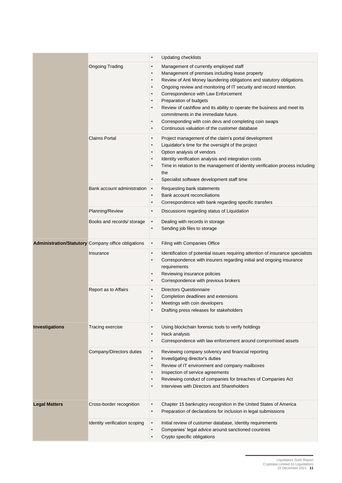|                      |                                                            | <b>Updating checklists</b><br>$\bullet$                                                                                                                                                                                                                                                                                                                                                                                                                                                                                                                                                                                                                       |
|----------------------|------------------------------------------------------------|---------------------------------------------------------------------------------------------------------------------------------------------------------------------------------------------------------------------------------------------------------------------------------------------------------------------------------------------------------------------------------------------------------------------------------------------------------------------------------------------------------------------------------------------------------------------------------------------------------------------------------------------------------------|
|                      | <b>Ongoing Trading</b>                                     | Management of currently employed staff<br>$\bullet$<br>Management of premises including lease property<br>$\bullet$<br>Review of Anti Money laundering obligations and statutory obligations.<br>$\bullet$<br>Ongoing review and monitoring of IT security and record retention.<br>$\bullet$<br>Correspondence with Law Enforcement<br>$\bullet$<br>Preparation of budgets<br>$\bullet$<br>Review of cashflow and its ability to operate the business and meet its<br>$\bullet$<br>commitments in the immediate future.<br>Corresponding with coin devs and completing coin swaps<br>$\bullet$<br>Continuous valuation of the customer database<br>$\bullet$ |
|                      | <b>Claims Portal</b>                                       | Project management of the claim's portal development<br>$\bullet$<br>Liquidator's time for the oversight of the project<br>$\bullet$<br>Option analysis of vendors<br>$\bullet$<br>Identity verification analysis and integration costs<br>$\bullet$<br>Time in relation to the management of identity verification process including<br>$\bullet$<br>the<br>Specialist software development staff time<br>$\bullet$                                                                                                                                                                                                                                          |
|                      | Bank account administration                                | Requesting bank statements<br>$\bullet$<br>Bank account reconciliations<br>$\bullet$<br>Correspondence with bank regarding specific transfers<br>$\bullet$                                                                                                                                                                                                                                                                                                                                                                                                                                                                                                    |
|                      | Planning/Review                                            | Discussions regarding status of Liquidation<br>$\bullet$                                                                                                                                                                                                                                                                                                                                                                                                                                                                                                                                                                                                      |
|                      | Books and records/ storage                                 | $\bullet$<br>Dealing with records in storage<br>Sending job files to storage<br>$\bullet$                                                                                                                                                                                                                                                                                                                                                                                                                                                                                                                                                                     |
|                      | <b>Administration/Statutory</b> Company office obligations | Filing with Companies Office<br>$\bullet$                                                                                                                                                                                                                                                                                                                                                                                                                                                                                                                                                                                                                     |
|                      | Insurance                                                  | Identification of potential issues requiring attention of insurance specialists<br>$\bullet$<br>Correspondence with insurers regarding initial and ongoing insurance<br>$\bullet$<br>requirements<br>Reviewing insurance policies<br>$\bullet$<br>Correspondence with previous brokers<br>$\bullet$                                                                                                                                                                                                                                                                                                                                                           |
|                      | Report as to Affairs                                       | <b>Directors Questionnaire</b><br>$\bullet$<br>Completion deadlines and extensions<br>$\bullet$<br>Meetings with coin developers<br>Drafting press releases for stakeholders                                                                                                                                                                                                                                                                                                                                                                                                                                                                                  |
| Investigations       | Tracing exercise                                           | Using blockchain forensic tools to verify holdings<br>$\bullet$<br>Hack analysis<br>$\bullet$<br>Correspondence with law enforcement around compromised assets<br>$\bullet$                                                                                                                                                                                                                                                                                                                                                                                                                                                                                   |
|                      | Company/Directors duties                                   | Reviewing company solvency and financial reporting<br>$\bullet$<br>Investigating director's duties<br>$\bullet$<br>Review of IT environment and company mailboxes<br>$\bullet$<br>Inspection of service agreements<br>$\bullet$<br>Reviewing conduct of companies for breaches of Companies Act<br>$\bullet$<br>Interviews with Directors and Shareholders<br>$\bullet$                                                                                                                                                                                                                                                                                       |
| <b>Legal Matters</b> | Cross-border recognition                                   | Chapter 15 bankruptcy recognition in the United States of America<br>$\bullet$<br>Preparation of declarations for inclusion in legal submissions<br>$\bullet$                                                                                                                                                                                                                                                                                                                                                                                                                                                                                                 |
|                      | Identity verification scoping                              | Initial review of customer database, identity requirements<br>$\bullet$<br>Companies' legal advice around sanctioned countries<br>$\bullet$<br>Crypto specific obligations<br>$\bullet$                                                                                                                                                                                                                                                                                                                                                                                                                                                                       |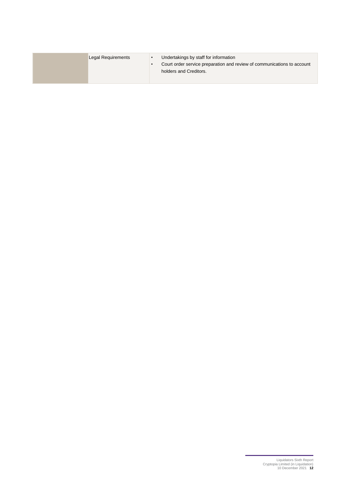| Legal Requirements | Undertakings by staff for information<br>Court order service preparation and review of communications to account<br>holders and Creditors. |
|--------------------|--------------------------------------------------------------------------------------------------------------------------------------------|
|                    |                                                                                                                                            |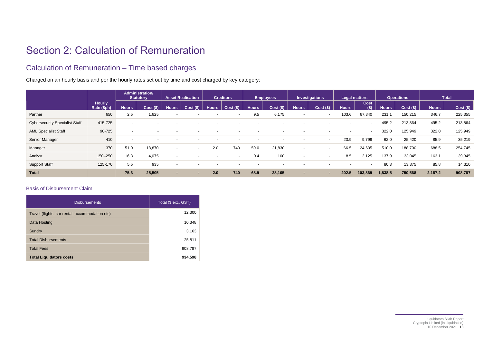# Section 2: Calculation of Remuneration

# Calculation of Remuneration – Time based charges

Charged on an hourly basis and per the hourly rates set out by time and cost charged by key category:

|                                       |                              | Administration/<br><b>Statutory</b> |             | <b>Asset Realisation</b> |                | <b>Creditors</b> |                          | <b>Employees</b> |                          | Investigations           |            | <b>Legal matters</b>     |                | <b>Operations</b> |         | Total        |             |
|---------------------------------------|------------------------------|-------------------------------------|-------------|--------------------------|----------------|------------------|--------------------------|------------------|--------------------------|--------------------------|------------|--------------------------|----------------|-------------------|---------|--------------|-------------|
|                                       | <b>Hourly</b><br>Rate (\$ph) | <b>Hours</b>                        | $Cost($ \$) | <b>Hours</b>             | Cost(S)        | <b>Hours</b>     | Cost(S)                  | <b>Hours</b>     | Cost(S)                  | <b>Hours</b>             | Cost(S)    | <b>Hours</b>             | Cost<br>$($ \$ | <b>Hours</b>      | Cost(S) | <b>Hours</b> | $Cost($ \$) |
| Partner                               | 650                          | 2.5                                 | 1,625       | $\sim$                   |                |                  |                          | 9.5              | 6,175                    |                          |            | 103.6                    | 67,340         | 231.1             | 150,215 | 346.7        | 225,355     |
| <b>Cybersecurity Specialist Staff</b> | 415-725                      |                                     |             |                          |                |                  |                          |                  | $\overline{\phantom{0}}$ |                          |            | $\sim$                   |                | 495.2             | 213,864 | 495.2        | 213,864     |
| <b>AML Specialist Staff</b>           | 90-725                       |                                     |             |                          |                |                  |                          |                  | $\overline{\phantom{a}}$ | $\overline{\phantom{a}}$ |            | $\sim$                   | $\sim$         | 322.0             | 125,949 | 322.0        | 125,949     |
| Senior Manager                        | 410                          |                                     |             |                          |                |                  |                          |                  |                          |                          | $\sim$     | 23.9                     | 9,799          | 62.0              | 25,420  | 85.9         | 35,219      |
| Manager                               | 370                          | 51.0                                | 18,870      | $\overline{\phantom{0}}$ | $\overline{a}$ | 2.0              | 740                      | 59.0             | 21,830                   |                          | $\sim$     | 66.5                     | 24.605         | 510.0             | 188,700 | 688.5        | 254,745     |
| Analyst                               | 150-250                      | 16.3                                | 4,075       | $\overline{\phantom{a}}$ |                |                  | $\overline{\phantom{a}}$ | 0.4              | 100                      | $\overline{\phantom{a}}$ |            | 8.5                      | 2,125          | 137.9             | 33,045  | 163.1        | 39,345      |
| <b>Support Staff</b>                  | 125-170                      | 5.5                                 | 935         | $\sim$                   |                |                  |                          |                  |                          |                          |            | $\overline{\phantom{0}}$ |                | 80.3              | 13,375  | 85.8         | 14,310      |
| <b>Total</b>                          |                              | 75.3                                | 25,505      | $\overline{\phantom{a}}$ |                | 2.0              | 740                      | 68.9             | 28,105                   | $\sim$                   | <b>COL</b> | 202.5                    | 103,869        | 1,838.5           | 750,568 | 2,187.2      | 908,787     |

### Basis of Disbursement Claim

| <b>Disbursements</b>                            | Total (\$ exc. GST) |
|-------------------------------------------------|---------------------|
| Travel (flights, car rental, accommodation etc) | 12,300              |
| Data Hosting                                    | 10,348              |
| Sundry                                          | 3,163               |
| <b>Total Disbursements</b>                      | 25,811              |
| <b>Total Fees</b>                               | 908,787             |
| <b>Total Liquidators costs</b>                  | 934,598             |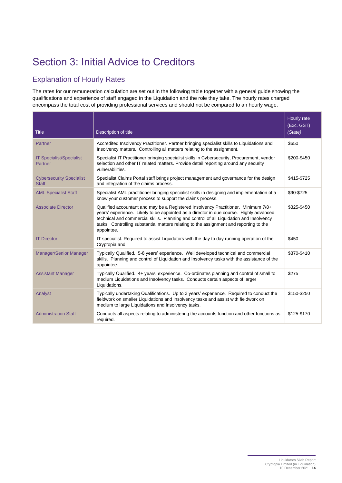# Section 3: Initial Advice to Creditors

# Explanation of Hourly Rates

The rates for our remuneration calculation are set out in the following table together with a general guide showing the qualifications and experience of staff engaged in the Liquidation and the role they take. The hourly rates charged encompass the total cost of providing professional services and should not be compared to an hourly wage.

| <b>Title</b>                                    | Description of title                                                                                                                                                                                                                                                                                                                                                            | Hourly rate<br>(Exc. GST)<br>(State) |
|-------------------------------------------------|---------------------------------------------------------------------------------------------------------------------------------------------------------------------------------------------------------------------------------------------------------------------------------------------------------------------------------------------------------------------------------|--------------------------------------|
| Partner                                         | Accredited Insolvency Practitioner. Partner bringing specialist skills to Liquidations and<br>Insolvency matters. Controlling all matters relating to the assignment.                                                                                                                                                                                                           | \$650                                |
| <b>IT Specialist/Specialist</b><br>Partner      | Specialist IT Practitioner bringing specialist skills in Cybersecurity, Procurement, vendor<br>selection and other IT related matters. Provide detail reporting around any security<br>vulnerabilities.                                                                                                                                                                         | \$200-\$450                          |
| <b>Cybersecurity Specialist</b><br><b>Staff</b> | Specialist Claims Portal staff brings project management and governance for the design<br>and integration of the claims process.                                                                                                                                                                                                                                                | \$415-\$725                          |
| <b>AML Specialist Staff</b>                     | Specialist AML practitioner bringing specialist skills in designing and implementation of a<br>know your customer process to support the claims process.                                                                                                                                                                                                                        | \$90-\$725                           |
| <b>Associate Director</b>                       | Qualified accountant and may be a Registered Insolvency Practitioner. Minimum 7/8+<br>years' experience. Likely to be appointed as a director in due course. Highly advanced<br>technical and commercial skills. Planning and control of all Liquidation and Insolvency<br>tasks. Controlling substantial matters relating to the assignment and reporting to the<br>appointee. | \$325-\$450                          |
| <b>IT Director</b>                              | IT specialist. Required to assist Liquidators with the day to day running operation of the<br>Cryptopia and                                                                                                                                                                                                                                                                     | \$450                                |
| <b>Manager/Senior Manager</b>                   | Typically Qualified. 5-8 years' experience. Well developed technical and commercial<br>skills. Planning and control of Liquidation and Insolvency tasks with the assistance of the<br>appointee.                                                                                                                                                                                | \$370-\$410                          |
| <b>Assistant Manager</b>                        | Typically Qualified. 4+ years' experience. Co-ordinates planning and control of small to<br>medium Liquidations and Insolvency tasks. Conducts certain aspects of larger<br>Liquidations.                                                                                                                                                                                       | \$275                                |
| Analyst                                         | Typically undertaking Qualifications. Up to 3 years' experience. Required to conduct the<br>fieldwork on smaller Liquidations and Insolvency tasks and assist with fieldwork on<br>medium to large Liquidations and Insolvency tasks.                                                                                                                                           | \$150-\$250                          |
| <b>Administration Staff</b>                     | Conducts all aspects relating to administering the accounts function and other functions as<br>required.                                                                                                                                                                                                                                                                        | \$125-\$170                          |